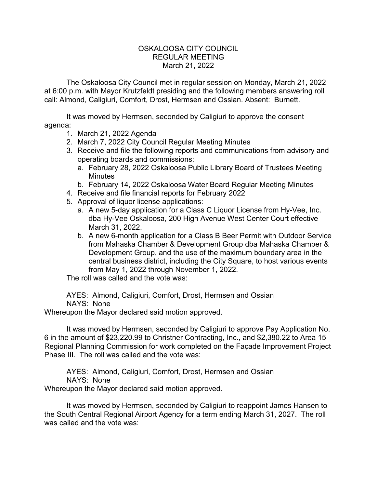## OSKALOOSA CITY COUNCIL REGULAR MEETING March 21, 2022

The Oskaloosa City Council met in regular session on Monday, March 21, 2022 at 6:00 p.m. with Mayor Krutzfeldt presiding and the following members answering roll call: Almond, Caligiuri, Comfort, Drost, Hermsen and Ossian. Absent: Burnett.

It was moved by Hermsen, seconded by Caligiuri to approve the consent agenda:

- 1. March 21, 2022 Agenda
- 2. March 7, 2022 City Council Regular Meeting Minutes
- 3. Receive and file the following reports and communications from advisory and operating boards and commissions:
	- a. February 28, 2022 Oskaloosa Public Library Board of Trustees Meeting **Minutes**
	- b. February 14, 2022 Oskaloosa Water Board Regular Meeting Minutes
- 4. Receive and file financial reports for February 2022
- 5. Approval of liquor license applications:
	- a. A new 5-day application for a Class C Liquor License from Hy-Vee, Inc. dba Hy-Vee Oskaloosa, 200 High Avenue West Center Court effective March 31, 2022.
	- b. A new 6-month application for a Class B Beer Permit with Outdoor Service from Mahaska Chamber & Development Group dba Mahaska Chamber & Development Group, and the use of the maximum boundary area in the central business district, including the City Square, to host various events from May 1, 2022 through November 1, 2022.

The roll was called and the vote was:

AYES: Almond, Caligiuri, Comfort, Drost, Hermsen and Ossian NAYS: None

Whereupon the Mayor declared said motion approved.

It was moved by Hermsen, seconded by Caligiuri to approve Pay Application No. 6 in the amount of \$23,220.99 to Christner Contracting, Inc., and \$2,380.22 to Area 15 Regional Planning Commission for work completed on the Façade Improvement Project Phase III. The roll was called and the vote was:

AYES: Almond, Caligiuri, Comfort, Drost, Hermsen and Ossian NAYS: None

Whereupon the Mayor declared said motion approved.

It was moved by Hermsen, seconded by Caligiuri to reappoint James Hansen to the South Central Regional Airport Agency for a term ending March 31, 2027. The roll was called and the vote was: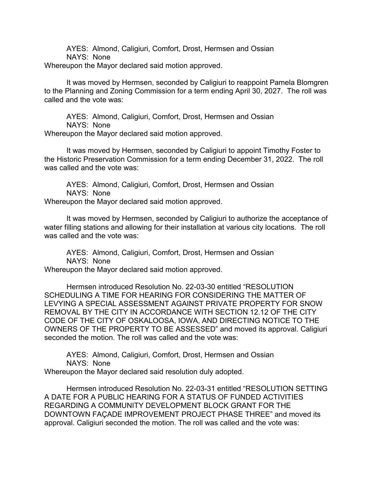AYES: Almond, Caligiuri, Comfort, Drost, Hermsen and Ossian NAYS: None Whereupon the Mayor declared said motion approved.

It was moved by Hermsen, seconded by Caligiuri to reappoint Pamela Blomgren to the Planning and Zoning Commission for a term ending April 30, 2027. The roll was called and the vote was:

AYES: Almond, Caligiuri, Comfort, Drost, Hermsen and Ossian NAYS: None Whereupon the Mayor declared said motion approved.

It was moved by Hermsen, seconded by Caligiuri to appoint Timothy Foster to the Historic Preservation Commission for a term ending December 31, 2022. The roll was called and the vote was:

AYES: Almond, Caligiuri, Comfort, Drost, Hermsen and Ossian NAYS: None Whereupon the Mayor declared said motion approved.

It was moved by Hermsen, seconded by Caligiuri to authorize the acceptance of water filling stations and allowing for their installation at various city locations. The roll was called and the vote was:

AYES: Almond, Caligiuri, Comfort, Drost, Hermsen and Ossian NAYS: None

Whereupon the Mayor declared said motion approved.

Hermsen introduced Resolution No. 22-03-30 entitled "RESOLUTION SCHEDULING A TIME FOR HEARING FOR CONSIDERING THE MATTER OF LEVYING A SPECIAL ASSESSMENT AGAINST PRIVATE PROPERTY FOR SNOW REMOVAL BY THE CITY IN ACCORDANCE WITH SECTION 12.12 OF THE CITY CODE OF THE CITY OF OSKALOOSA, IOWA, AND DIRECTING NOTICE TO THE OWNERS OF THE PROPERTY TO BE ASSESSED" and moved its approval. Caligiuri seconded the motion. The roll was called and the vote was:

AYES: Almond, Caligiuri, Comfort, Drost, Hermsen and Ossian NAYS: None

Whereupon the Mayor declared said resolution duly adopted.

Hermsen introduced Resolution No. 22-03-31 entitled "RESOLUTION SETTING A DATE FOR A PUBLIC HEARING FOR A STATUS OF FUNDED ACTIVITIES REGARDING A COMMUNITY DEVELOPMENT BLOCK GRANT FOR THE DOWNTOWN FAÇADE IMPROVEMENT PROJECT PHASE THREE" and moved its approval. Caligiuri seconded the motion. The roll was called and the vote was: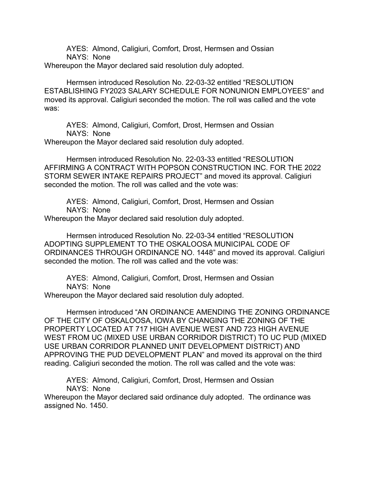AYES: Almond, Caligiuri, Comfort, Drost, Hermsen and Ossian NAYS: None

Whereupon the Mayor declared said resolution duly adopted.

Hermsen introduced Resolution No. 22-03-32 entitled "RESOLUTION ESTABLISHING FY2023 SALARY SCHEDULE FOR NONUNION EMPLOYEES" and moved its approval. Caligiuri seconded the motion. The roll was called and the vote was:

AYES: Almond, Caligiuri, Comfort, Drost, Hermsen and Ossian NAYS: None

Whereupon the Mayor declared said resolution duly adopted.

Hermsen introduced Resolution No. 22-03-33 entitled "RESOLUTION AFFIRMING A CONTRACT WITH POPSON CONSTRUCTION INC. FOR THE 2022 STORM SEWER INTAKE REPAIRS PROJECT" and moved its approval. Caligiuri seconded the motion. The roll was called and the vote was:

AYES: Almond, Caligiuri, Comfort, Drost, Hermsen and Ossian NAYS: None

Whereupon the Mayor declared said resolution duly adopted.

Hermsen introduced Resolution No. 22-03-34 entitled "RESOLUTION ADOPTING SUPPLEMENT TO THE OSKALOOSA MUNICIPAL CODE OF ORDINANCES THROUGH ORDINANCE NO. 1448" and moved its approval. Caligiuri seconded the motion. The roll was called and the vote was:

AYES: Almond, Caligiuri, Comfort, Drost, Hermsen and Ossian NAYS: None

Whereupon the Mayor declared said resolution duly adopted.

Hermsen introduced "AN ORDINANCE AMENDING THE ZONING ORDINANCE OF THE CITY OF OSKALOOSA, IOWA BY CHANGING THE ZONING OF THE PROPERTY LOCATED AT 717 HIGH AVENUE WEST AND 723 HIGH AVENUE WEST FROM UC (MIXED USE URBAN CORRIDOR DISTRICT) TO UC PUD (MIXED USE URBAN CORRIDOR PLANNED UNIT DEVELOPMENT DISTRICT) AND APPROVING THE PUD DEVELOPMENT PLAN" and moved its approval on the third reading. Caligiuri seconded the motion. The roll was called and the vote was:

AYES: Almond, Caligiuri, Comfort, Drost, Hermsen and Ossian NAYS: None

Whereupon the Mayor declared said ordinance duly adopted. The ordinance was assigned No. 1450.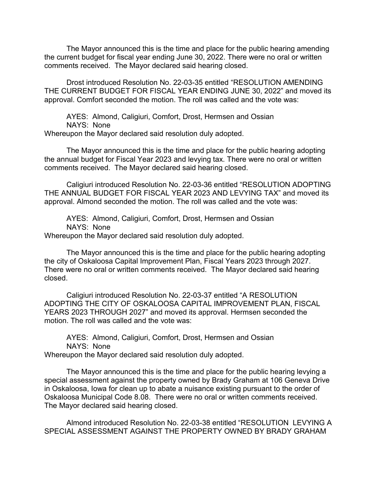The Mayor announced this is the time and place for the public hearing amending the current budget for fiscal year ending June 30, 2022. There were no oral or written comments received. The Mayor declared said hearing closed.

Drost introduced Resolution No. 22-03-35 entitled "RESOLUTION AMENDING THE CURRENT BUDGET FOR FISCAL YEAR ENDING JUNE 30, 2022" and moved its approval. Comfort seconded the motion. The roll was called and the vote was:

AYES: Almond, Caligiuri, Comfort, Drost, Hermsen and Ossian NAYS: None Whereupon the Mayor declared said resolution duly adopted.

The Mayor announced this is the time and place for the public hearing adopting the annual budget for Fiscal Year 2023 and levying tax. There were no oral or written comments received. The Mayor declared said hearing closed.

Caligiuri introduced Resolution No. 22-03-36 entitled "RESOLUTION ADOPTING THE ANNUAL BUDGET FOR FISCAL YEAR 2023 AND LEVYING TAX" and moved its approval. Almond seconded the motion. The roll was called and the vote was:

AYES: Almond, Caligiuri, Comfort, Drost, Hermsen and Ossian NAYS: None

Whereupon the Mayor declared said resolution duly adopted.

The Mayor announced this is the time and place for the public hearing adopting the city of Oskaloosa Capital Improvement Plan, Fiscal Years 2023 through 2027. There were no oral or written comments received. The Mayor declared said hearing closed.

Caligiuri introduced Resolution No. 22-03-37 entitled "A RESOLUTION ADOPTING THE CITY OF OSKALOOSA CAPITAL IMPROVEMENT PLAN, FISCAL YEARS 2023 THROUGH 2027" and moved its approval. Hermsen seconded the motion. The roll was called and the vote was:

AYES: Almond, Caligiuri, Comfort, Drost, Hermsen and Ossian NAYS: None Whereupon the Mayor declared said resolution duly adopted.

The Mayor announced this is the time and place for the public hearing levying a special assessment against the property owned by Brady Graham at 106 Geneva Drive in Oskaloosa, Iowa for clean up to abate a nuisance existing pursuant to the order of Oskaloosa Municipal Code 8.08. There were no oral or written comments received. The Mayor declared said hearing closed.

Almond introduced Resolution No. 22-03-38 entitled "RESOLUTION LEVYING A SPECIAL ASSESSMENT AGAINST THE PROPERTY OWNED BY BRADY GRAHAM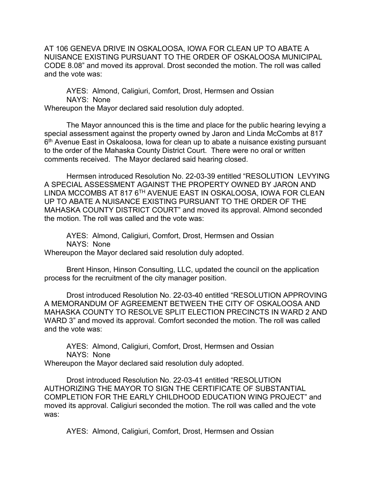AT 106 GENEVA DRIVE IN OSKALOOSA, IOWA FOR CLEAN UP TO ABATE A NUISANCE EXISTING PURSUANT TO THE ORDER OF OSKALOOSA MUNICIPAL CODE 8.08" and moved its approval. Drost seconded the motion. The roll was called and the vote was:

AYES: Almond, Caligiuri, Comfort, Drost, Hermsen and Ossian NAYS: None

Whereupon the Mayor declared said resolution duly adopted.

The Mayor announced this is the time and place for the public hearing levying a special assessment against the property owned by Jaron and Linda McCombs at 817 6<sup>th</sup> Avenue East in Oskaloosa, Iowa for clean up to abate a nuisance existing pursuant to the order of the Mahaska County District Court. There were no oral or written comments received. The Mayor declared said hearing closed.

Hermsen introduced Resolution No. 22-03-39 entitled "RESOLUTION LEVYING A SPECIAL ASSESSMENT AGAINST THE PROPERTY OWNED BY JARON AND LINDA MCCOMBS AT 817 6TH AVENUE EAST IN OSKALOOSA, IOWA FOR CLEAN UP TO ABATE A NUISANCE EXISTING PURSUANT TO THE ORDER OF THE MAHASKA COUNTY DISTRICT COURT" and moved its approval. Almond seconded the motion. The roll was called and the vote was:

AYES: Almond, Caligiuri, Comfort, Drost, Hermsen and Ossian NAYS: None

Whereupon the Mayor declared said resolution duly adopted.

Brent Hinson, Hinson Consulting, LLC, updated the council on the application process for the recruitment of the city manager position.

Drost introduced Resolution No. 22-03-40 entitled "RESOLUTION APPROVING A MEMORANDUM OF AGREEMENT BETWEEN THE CITY OF OSKALOOSA AND MAHASKA COUNTY TO RESOLVE SPLIT ELECTION PRECINCTS IN WARD 2 AND WARD 3" and moved its approval. Comfort seconded the motion. The roll was called and the vote was:

AYES: Almond, Caligiuri, Comfort, Drost, Hermsen and Ossian NAYS: None

Whereupon the Mayor declared said resolution duly adopted.

Drost introduced Resolution No. 22-03-41 entitled "RESOLUTION AUTHORIZING THE MAYOR TO SIGN THE CERTIFICATE OF SUBSTANTIAL COMPLETION FOR THE EARLY CHILDHOOD EDUCATION WING PROJECT" and moved its approval. Caligiuri seconded the motion. The roll was called and the vote was:

AYES: Almond, Caligiuri, Comfort, Drost, Hermsen and Ossian